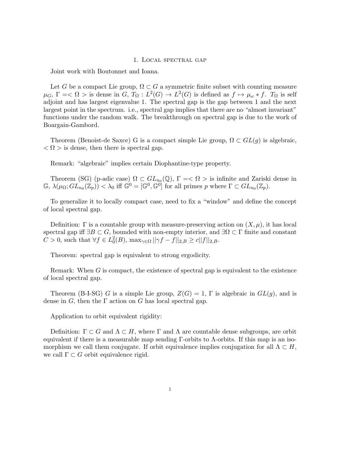## 1. Local spectral gap

Joint work with Boutonnet and Ioana.

Let *G* be a compact Lie group,  $\Omega \subset G$  a symmetric finite subset with counting measure  $\mu_G$ ,  $\Gamma = \langle \Omega \rangle$  is dense in *G*,  $T_\Omega : L^2(G) \to L^2(G)$  is defined as  $f \mapsto \mu_\omega * f$ .  $T_\Omega$  is self adjoint and has largest eigenvalue 1. The spectral gap is the gap between 1 and the next largest point in the spectrum. i.e., spectral gap implies that there are no "almost invariant" functions under the random walk. The breakthrough on spectral gap is due to the work of Boargain-Gambord.

Theorem (Benoist-de Saxce) G is a compact simple Lie group,  $\Omega \subset GL(q)$  is algebraic,  $\langle \Omega \rangle$  is dense, then there is spectral gap.

Remark: "algebraic" implies certain Diophantine-type property.

Theorem (SG) (p-adic case)  $\Omega \subset GL_{n_0}(\mathbb{Q})$ ,  $\Gamma = \langle \Omega \rangle$  is infinite and Zariski dense in  $\mathbb{G}, \lambda(\mu_{\Omega}; GL_{n_0}(\mathbb{Z}_p)) < \lambda_0$  iff  $\mathbb{G}^0 = [\mathbb{G}^0, \mathbb{G}^0]$  for all primes p where  $\Gamma \subset GL_{n_0}(\mathbb{Z}_p)$ .

To generalize it to locally compact case, need to fix a "window" and define the concept of local spectral gap.

Definition:  $\Gamma$  is a countable group with measure-preserving action on  $(X, \mu)$ , it has local spectral gap iff  $\exists B \subset G$ , bounded with non-empty interior, and  $\exists \Omega \subset \Gamma$  finite and constant  $C > 0$ , such that  $\forall f \in L_0^2(B)$ ,  $\max_{\gamma \in \Omega} ||\gamma f - f||_{2,B} \ge c||f||_{2,B}$ .

Theorem: spectral gap is equivalent to strong ergodicity.

Remark: When *G* is compact, the existence of spectral gap is equivalent to the existence of local spectral gap.

Theorem (B-I-SG) *G* is a simple Lie group,  $Z(G) = 1$ ,  $\Gamma$  is algebraic in  $GL(g)$ , and is dense in  $G$ , then the  $\Gamma$  action on  $G$  has local spectral gap.

Application to orbit equivalent rigidity:

Definition:  $\Gamma \subset G$  and  $\Lambda \subset H$ , where  $\Gamma$  and  $\Lambda$  are countable dense subgroups, are orbit equivalent if there is a measurable map sending  $\Gamma$ -orbits to  $\Lambda$ -orbits. If this map is an isomorphism we call them conjugate. If orbit equivalence implies conjugation for all  $\Lambda \subset H$ , we call  $\Gamma \subset G$  orbit equivalence rigid.